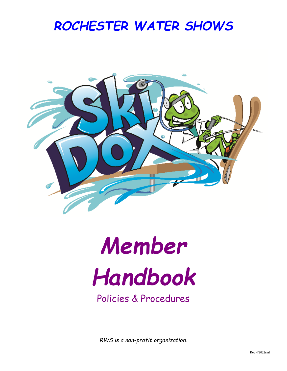## *ROCHESTER WATER SHOWS*



# *Member Handbook*

### Policies & Procedures

*RWS is a non-profit organization.*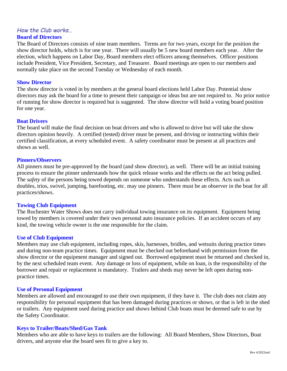#### *How the Club works…*

#### **Board of Directors**

The Board of Directors consists of nine team members. Terms are for two years, except for the position the show director holds, which is for one year. There will usually be 5 new board members each year. After the election, which happens on Labor Day, Board members elect officers among themselves. Officer positions include President, Vice President, Secretary, and Treasurer. Board meetings are open to our members and normally take place on the second Tuesday or Wednesday of each month.

#### **Show Director**

The show director is voted in by members at the general board elections held Labor Day. Potential show directors may ask the board for a time to present their campaign or ideas but are not required to. No prior notice of running for show director is required but is suggested. The show director will hold a voting board position for one year.

#### **Boat Drivers**

The board will make the final decision on boat drivers and who is allowed to drive but will take the show directors opinion heavily. A certified (tested) driver must be present, and driving or instructing within their certified classification, at every scheduled event. A safety coordinator must be present at all practices and shows as well.

#### **Pinners/Observers**

All pinners must be pre-approved by the board (and show director), as well. There will be an initial training process to ensure the pinner understands how the quick release works and the effects on the act being pulled. The *safety* of the persons being towed depends on someone who understands these effects. Acts such as doubles, trios, swivel, jumping, barefooting, etc. may use pinners. There must be an observer in the boat for all practices/shows.

#### **Towing Club Equipment**

The Rochester Water Shows does not carry individual towing insurance on its equipment. Equipment being towed by members is covered under their own personal auto insurance policies. If an accident occurs of any kind, the towing vehicle owner is the one responsible for the claim.

#### **Use of Club Equipment**

Members may use club equipment, including ropes, skis, harnesses, bridles, and wetsuits during practice times and during non-team practice times. Equipment must be checked out beforehand with permission from the show director or the equipment manager and signed out. Borrowed equipment must be returned and checked in, by the next scheduled team event. Any damage or loss of equipment, while on loan, is the responsibility of the borrower and repair or replacement is mandatory. Trailers and sheds may never be left open during nonpractice times.

#### **Use of Personal Equipment**

Members are allowed and encouraged to use their own equipment, if they have it. The club does not claim any responsibility for personal equipment that has been damaged during practices or shows, or that is left in the shed or trailers. Any equipment used during practice and shows behind Club boats must be deemed safe to use by the Safety Coordinator.

#### **Keys to Trailer/Boats/Shed/Gas Tank**

Members who are able to have keys to trailers are the following: All Board Members, Show Directors, Boat drivers, and anyone else the board sees fit to give a key to.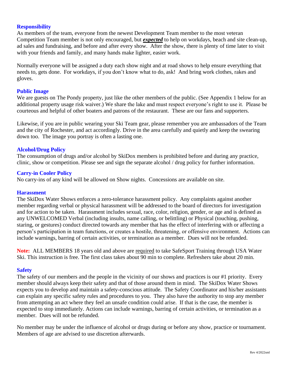#### **Responsibility**

As members of the team, everyone from the newest Development Team member to the most veteran Competition Team member is not only encouraged, but *expected* to help on workdays, beach and site clean-up, ad sales and fundraising, and before and after every show. After the show, there is plenty of time later to visit with your friends and family, and many hands make lighter, easier work.

Normally everyone will be assigned a duty each show night and at road shows to help ensure everything that needs to, gets done. For workdays, if you don't know what to do, ask! And bring work clothes, rakes and gloves.

#### **Public Image**

We are guests on The Pondy property, just like the other members of the public. (See Appendix 1 below for an additional property usage risk waiver.) We share the lake and must respect everyone's right to use it. Please be courteous and helpful of other boaters and patrons of the restaurant. These are our fans and supporters.

Likewise, if you are in public wearing your Ski Team gear, please remember you are ambassadors of the Team and the city of Rochester, and act accordingly. Drive in the area carefully and quietly and keep the swearing down too. The image you portray is often a lasting one.

#### **Alcohol/Drug Policy**

The consumption of drugs and/or alcohol by SkiDox members is prohibited before and during any practice, clinic, show or competition. Please see and sign the separate alcohol / drug policy for further information.

#### **Carry-in Cooler Policy**

No carry-ins of any kind will be allowed on Show nights. Concessions are available on site.

#### **Harassment**

The SkiDox Water Shows enforces a zero-tolerance harassment policy. Any complaints against another member regarding verbal or physical harassment will be addressed to the board of directors for investigation and for action to be taken. Harassment includes sexual, race, color, religion, gender, or age and is defined as any UNWELCOMED Verbal (including insults, name calling, or belittling) or Physical (touching, pushing, staring, or gestures) conduct directed towards any member that has the effect of interfering with or affecting a person's participation in team functions, or creates a hostile, threatening, or offensive environment. Actions can include warnings, barring of certain activities, or termination as a member. Dues will not be refunded.

**Note:** ALL MEMBERS 18 years old and above are required to take SafeSport Training through USA Water Ski. This instruction is free. The first class takes about 90 min to complete. Refreshers take about 20 min.

#### **Safety**

The safety of our members and the people in the vicinity of our shows and practices is our #1 priority. Every member should always keep their safety and that of those around them in mind. The SkiDox Water Shows expects you to develop and maintain a safety-conscious attitude. The Safety Coordinator and his/her assistants can explain any specific safety rules and procedures to you. They also have the authority to stop any member from attempting an act where they feel an unsafe condition could arise. If that is the case, the member is expected to stop immediately. Actions can include warnings, barring of certain activities, or termination as a member. Dues will not be refunded.

No member may be under the influence of alcohol or drugs during or before any show, practice or tournament. Members of age are advised to use discretion afterwards.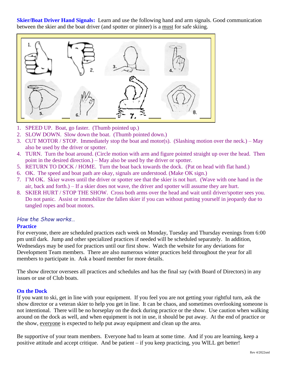**Skier/Boat Driver Hand Signals:** Learn and use the following hand and arm signals. Good communication between the skier and the boat driver (and spotter or pinner) is a must for safe skiing.



- 1. SPEED UP. Boat, go faster. (Thumb pointed up.)
- 2. SLOW DOWN. Slow down the boat. (Thumb pointed down.)
- 3. CUT MOTOR / STOP. Immediately stop the boat and motor(s). (Slashing motion over the neck.) May also be used by the driver or spotter.
- 4. TURN. Turn the boat around. (Circle motion with arm and figure pointed straight up over the head. Then point in the desired direction.) – May also be used by the driver or spotter.
- 5. RETURN TO DOCK / HOME. Turn the boat back towards the dock. (Pat on head with flat hand.)
- 6. OK. The speed and boat path are okay, signals are understood. (Make OK sign.)
- 7. I'M OK. Skier waves until the driver or spotter see that the skier is not hurt. (Wave with one hand in the air, back and forth.) – If a skier does not wave, the driver and spotter will assume they are hurt.
- 8. SKIER HURT / STOP THE SHOW. Cross both arms over the head and wait until driver/spotter sees you. Do not panic. Assist or immobilize the fallen skier if you can without putting yourself in jeopardy due to tangled ropes and boat motors.

#### *How the Show works…*

#### **Practice**

For everyone, there are scheduled practices each week on Monday, Tuesday and Thursday evenings from 6:00 pm until dark. Jump and other specialized practices if needed will be scheduled separately. In addition, Wednesdays may be used for practices until our first show. Watch the website for any deviations for Development Team members. There are also numerous winter practices held throughout the year for all members to participate in. Ask a board member for more details.

The show director oversees all practices and schedules and has the final say (with Board of Directors) in any issues or use of Club boats.

#### **On the Dock**

If you want to ski, get in line with your equipment. If you feel you are not getting your rightful turn, ask the show director or a veteran skier to help you get in line. It can be chaos, and sometimes overlooking someone is not intentional. There will be no horseplay on the dock during practice or the show. Use caution when walking around on the dock as well, and when equipment is not in use, it should be put away. At the end of practice or the show, everyone is expected to help put away equipment and clean up the area.

Be supportive of your team members. Everyone had to learn at some time. And if you are learning, keep a positive attitude and accept critique. And be patient – if you keep practicing, you WILL get better!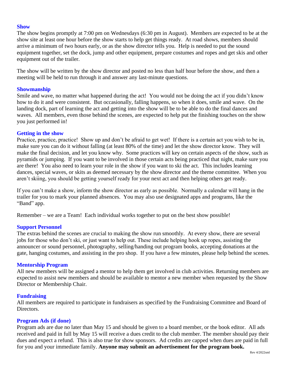#### **Show**

The show begins promptly at 7:00 pm on Wednesdays (6:30 pm in August). Members are expected to be at the show site at least one hour before the show starts to help get things ready. At road shows, members should arrive a minimum of two hours early, or as the show director tells you. Help is needed to put the sound equipment together, set the dock, jump and other equipment, prepare costumes and ropes and get skis and other equipment out of the trailer.

The show will be written by the show director and posted no less than half hour before the show, and then a meeting will be held to run through it and answer any last-minute questions.

#### **Showmanship**

Smile and wave, no matter what happened during the act! You would not be doing the act if you didn't know how to do it and were consistent. But occasionally, falling happens, so when it does, smile and wave. On the landing dock, part of learning the act and getting into the show will be to be able to do the final dances and waves. All members, even those behind the scenes, are expected to help put the finishing touches on the show you just performed in!

#### **Getting in the show**

Practice, practice, practice! Show up and don't be afraid to get wet! If there is a certain act you wish to be in, make sure you can do it without falling (at least 80% of the time) and let the show director know. They will make the final decision, and let you know why. Some practices will key on certain aspects of the show, such as pyramids or jumping. If you want to be involved in those certain acts being practiced that night, make sure you are there! You also need to learn your role in the show if you want to ski the act. This includes learning dances, special waves, or skits as deemed necessary by the show director and the theme committee. When you aren't skiing, you should be getting yourself ready for your next act and then helping others get ready.

If you can't make a show, inform the show director as early as possible. Normally a calendar will hang in the trailer for you to mark your planned absences. You may also use designated apps and programs, like the "Band" app.

Remember – we are a Team! Each individual works together to put on the best show possible!

#### **Support Personnel**

The extras behind the scenes are crucial to making the show run smoothly. At every show, there are several jobs for those who don't ski, or just want to help out. These include helping hook up ropes, assisting the announcer or sound personnel, photography, selling/handing out program books, accepting donations at the gate, hanging costumes, and assisting in the pro shop. If you have a few minutes, please help behind the scenes.

#### **Mentorship Program**

All new members will be assigned a mentor to help them get involved in club activities. Returning members are expected to assist new members and should be available to mentor a new member when requested by the Show Director or Membership Chair.

#### **Fundraising**

All members are required to participate in fundraisers as specified by the Fundraising Committee and Board of Directors.

#### **Program Ads (if done)**

Program ads are due no later than May 15 and should be given to a board member, or the book editor. All ads received and paid in full by May 15 will receive a dues credit to the club member. The member should pay their dues and expect a refund. This is also true for show sponsors. Ad credits are capped when dues are paid in full for you and your immediate family. **Anyone may submit an advertisement for the program book.**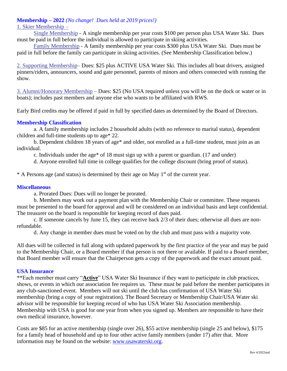#### **Membership – 2022** *(No change! Dues held at 2019 prices!)*

#### 1. Skier Membership –

Single Membership - A single membership per year costs \$100 per person plus USA Water Ski. Dues must be paid in full before the individual is allowed to participate in skiing activities.

Family Membership - A family membership per year costs \$300 plus USA Water Ski. Dues must be paid in full before the family can participate in skiing activities. (See Membership Classification below.)

2. Supporting Membership– Dues: \$25 plus ACTIVE USA Water Ski. This includes all boat drivers, assigned pinners/riders, announcers, sound and gate personnel, parents of minors and others connected with running the show.

3. Alumni/Honorary Membership – Dues: \$25 (No USA required unless you will be on the dock or water or in boats); includes past members and anyone else who wants to be affiliated with RWS.

Early Bird credits may be offered if paid in full by specified dates as determined by the Board of Directors.

#### **Membership Classification**

a. A family membership includes 2 household adults (with no reference to marital status), dependent children and full-time students up to age\* 22.

b. Dependent children 18 years of age\* and older, not enrolled as a full-time student, must join as an individual.

c. Individuals under the age\* of 18 must sign up with a parent or guardian. (17 and under)

d. Anyone enrolled full time in college qualifies for the college discount (bring proof of status).

 $*$  A Persons age (and status) is determined by their age on May  $1<sup>st</sup>$  of the current year.

#### **Miscellaneous**

a. Prorated Dues: Dues will no longer be prorated.

b. Members may work out a payment plan with the Membership Chair or committee. These requests must be presented to the board for approval and will be considered on an individual basis and kept confidential. The treasurer on the board is responsible for keeping record of dues paid.

c. If someone cancels by June 15, they can receive back 2/3 of their dues; otherwise all dues are nonrefundable.

d. Any change in member dues must be voted on by the club and must pass with a majority vote.

All dues will be collected in full along with updated paperwork by the first practice of the year and may be paid to the Membership Chair, or a Board member if that person is not there or available. If paid to a Board member, that Board member will ensure that the Chairperson gets a copy of the paperwork and the exact amount paid.

#### **USA Insurance**

\*\*Each member must carry "**Active**" USA Water Ski Insurance if they want to participate in club practices, shows, or events in which our association fee requires us. These must be paid before the member participates in any club-sanctioned event. Members will not ski until the club has confirmation of USA Water Ski membership (bring a copy of your registration). The Board Secretary or Membership Chair/USA Water ski advisor will be responsible for keeping record of who has USA Water Ski Association membership. Membership with USA is good for one year from when you signed up. Members are responsible to have their own medical insurance, however.

Costs are \$85 for an active membership (single over 26), \$55 active membership (single 25 and below), \$175 for a family head of household and up to four other active family members (under 17) after that. More information may be found on the website: [www.usawaterski.org.](http://www.usawaterski.org/)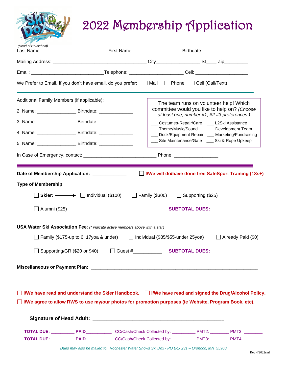## 2022 Membership Application

| (Head of Household)                        |                                                                                                                    |  |                                                                                                                                                                                                                                                                                              |                                                       |  |
|--------------------------------------------|--------------------------------------------------------------------------------------------------------------------|--|----------------------------------------------------------------------------------------------------------------------------------------------------------------------------------------------------------------------------------------------------------------------------------------------|-------------------------------------------------------|--|
|                                            |                                                                                                                    |  |                                                                                                                                                                                                                                                                                              |                                                       |  |
|                                            |                                                                                                                    |  |                                                                                                                                                                                                                                                                                              |                                                       |  |
|                                            | We Prefer to Email. If you don't have email, do you prefer: $\Box$ Mail $\Box$ Phone $\Box$ Cell (Call/Text)       |  |                                                                                                                                                                                                                                                                                              |                                                       |  |
| Additional Family Members (if applicable): |                                                                                                                    |  |                                                                                                                                                                                                                                                                                              | The team runs on volunteer help! Which                |  |
|                                            | 2. Name: _______________________ Birthdate: _________________                                                      |  | committee would you like to help on? (Choose<br>at least one; number #1, #2 #3 preferences.)<br>Costumes-Repair/Care __ L2Ski Assistance<br>___ Theme/Music/Sound ____ Development Team<br>___ Dock/Equipment Repair ___ Marketing/Fundraising<br>Site Maintenance/Gate __ Ski & Rope Upkeep |                                                       |  |
|                                            | 3. Name: _______________________ Birthdate: __________________                                                     |  |                                                                                                                                                                                                                                                                                              |                                                       |  |
|                                            | 4. Name: ________________________ Birthdate: ___________________________________                                   |  |                                                                                                                                                                                                                                                                                              |                                                       |  |
|                                            | 5. Name: ________________________ Birthdate: ___________                                                           |  |                                                                                                                                                                                                                                                                                              |                                                       |  |
|                                            |                                                                                                                    |  |                                                                                                                                                                                                                                                                                              |                                                       |  |
|                                            | Date of Membership Application: _____________                                                                      |  |                                                                                                                                                                                                                                                                                              | I/We will do/have done free SafeSport Training (18s+) |  |
| <b>Type of Membership:</b>                 |                                                                                                                    |  |                                                                                                                                                                                                                                                                                              |                                                       |  |
|                                            | Skier: $\longrightarrow$ Individual (\$100) $\Box$ Family (\$300) $\Box$ Supporting (\$25)                         |  |                                                                                                                                                                                                                                                                                              |                                                       |  |
| _ Alumni (\$25)                            |                                                                                                                    |  |                                                                                                                                                                                                                                                                                              | SUBTOTAL DUES: ___________                            |  |
|                                            | USA Water Ski Association Fee: (* indicate active members above with a star)                                       |  |                                                                                                                                                                                                                                                                                              |                                                       |  |
|                                            | □ Family (\$175-up to 6, 17yoa & under)   □ Individual (\$85/\$55-under 25yoa)                                     |  |                                                                                                                                                                                                                                                                                              | $\Box$ Already Paid (\$0)                             |  |
|                                            | □ Supporting/GR (\$20 or \$40)                                                                                     |  |                                                                                                                                                                                                                                                                                              |                                                       |  |
|                                            |                                                                                                                    |  |                                                                                                                                                                                                                                                                                              |                                                       |  |
|                                            | $\Box$ I/We have read and understand the Skier Handbook. $\Box$ I/We have read and signed the Drug/Alcohol Policy. |  |                                                                                                                                                                                                                                                                                              |                                                       |  |
|                                            | $\Box$ I/We agree to allow RWS to use my/our photos for promotion purposes (ie Website, Program Book, etc).        |  |                                                                                                                                                                                                                                                                                              |                                                       |  |
|                                            |                                                                                                                    |  |                                                                                                                                                                                                                                                                                              |                                                       |  |
|                                            |                                                                                                                    |  |                                                                                                                                                                                                                                                                                              |                                                       |  |
|                                            | TOTAL DUE: PAID PAID CC/Cash/Check Collected by: PMT3: PMT3: PMT4:                                                 |  |                                                                                                                                                                                                                                                                                              |                                                       |  |

*Dues may also be mailed to: Rochester Water Shows Ski Dox - PO Box 231 – Oronoco, MN 55960*